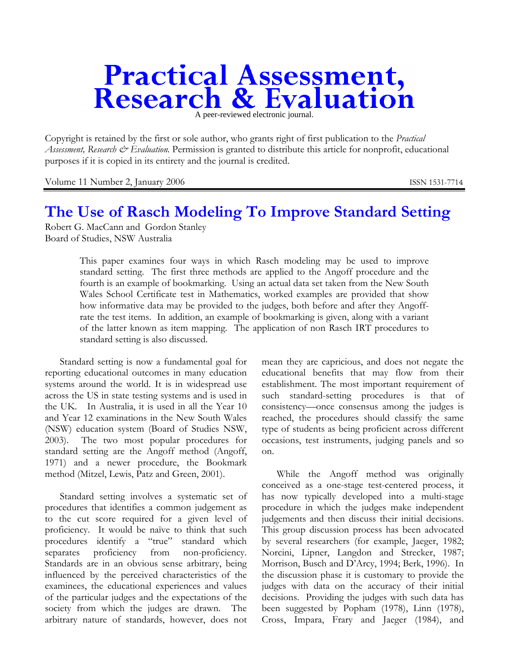# **Practical Assessment,<br>Research & Evaluation**

Copyright is retained by the first or sole author, who grants right of first publication to the *Practical Assessment, Research & Evaluation.* Permission is granted to distribute this article for nonprofit, educational purposes if it is copied in its entirety and the journal is credited.

Volume 11 Number 2, January 2006 ISSN 1531-7714

# **The Use of Rasch Modeling To Improve Standard Setting**

Robert G. MacCann and Gordon Stanley Board of Studies, NSW Australia

> This paper examines four ways in which Rasch modeling may be used to improve standard setting. The first three methods are applied to the Angoff procedure and the fourth is an example of bookmarking. Using an actual data set taken from the New South Wales School Certificate test in Mathematics, worked examples are provided that show how informative data may be provided to the judges, both before and after they Angoffrate the test items. In addition, an example of bookmarking is given, along with a variant of the latter known as item mapping. The application of non Rasch IRT procedures to standard setting is also discussed.

Standard setting is now a fundamental goal for reporting educational outcomes in many education systems around the world. It is in widespread use across the US in state testing systems and is used in the UK. In Australia, it is used in all the Year 10 and Year 12 examinations in the New South Wales (NSW) education system (Board of Studies NSW, 2003). The two most popular procedures for standard setting are the Angoff method (Angoff, 1971) and a newer procedure, the Bookmark method (Mitzel, Lewis, Patz and Green, 2001).

Standard setting involves a systematic set of procedures that identifies a common judgement as to the cut score required for a given level of proficiency. It would be naïve to think that such procedures identify a "true" standard which separates proficiency from non-proficiency. Standards are in an obvious sense arbitrary, being influenced by the perceived characteristics of the examinees, the educational experiences and values of the particular judges and the expectations of the society from which the judges are drawn. The arbitrary nature of standards, however, does not

mean they are capricious, and does not negate the educational benefits that may flow from their establishment. The most important requirement of such standard-setting procedures is that of consistency—once consensus among the judges is reached, the procedures should classify the same type of students as being proficient across different occasions, test instruments, judging panels and so on.

While the Angoff method was originally conceived as a one-stage test-centered process, it has now typically developed into a multi-stage procedure in which the judges make independent judgements and then discuss their initial decisions. This group discussion process has been advocated by several researchers (for example, Jaeger, 1982; Norcini, Lipner, Langdon and Strecker, 1987; Morrison, Busch and D'Arcy, 1994; Berk, 1996). In the discussion phase it is customary to provide the judges with data on the accuracy of their initial decisions. Providing the judges with such data has been suggested by Popham (1978), Linn (1978), Cross, Impara, Frary and Jaeger (1984), and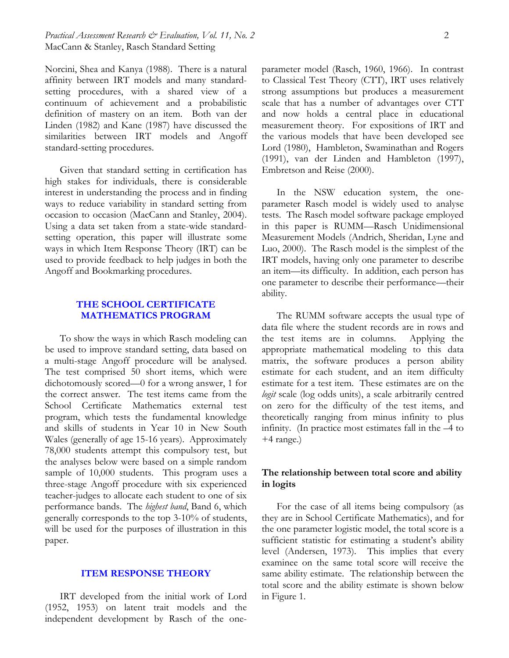# *Practical Assessment Research & Evaluation, Vol. 11, No. 2* 2 MacCann & Stanley, Rasch Standard Setting

Norcini, Shea and Kanya (1988). There is a natural affinity between IRT models and many standardsetting procedures, with a shared view of a continuum of achievement and a probabilistic definition of mastery on an item. Both van der Linden (1982) and Kane (1987) have discussed the similarities between IRT models and Angoff standard-setting procedures.

Given that standard setting in certification has high stakes for individuals, there is considerable interest in understanding the process and in finding ways to reduce variability in standard setting from occasion to occasion (MacCann and Stanley, 2004). Using a data set taken from a state-wide standardsetting operation, this paper will illustrate some ways in which Item Response Theory (IRT) can be used to provide feedback to help judges in both the Angoff and Bookmarking procedures.

# **THE SCHOOL CERTIFICATE MATHEMATICS PROGRAM**

To show the ways in which Rasch modeling can be used to improve standard setting, data based on a multi-stage Angoff procedure will be analysed. The test comprised 50 short items, which were dichotomously scored—0 for a wrong answer, 1 for the correct answer. The test items came from the School Certificate Mathematics external test program, which tests the fundamental knowledge and skills of students in Year 10 in New South Wales (generally of age 15-16 years). Approximately 78,000 students attempt this compulsory test, but the analyses below were based on a simple random sample of 10,000 students. This program uses a three-stage Angoff procedure with six experienced teacher-judges to allocate each student to one of six performance bands. The *highest band*, Band 6, which generally corresponds to the top 3-10% of students, will be used for the purposes of illustration in this paper.

#### **ITEM RESPONSE THEORY**

IRT developed from the initial work of Lord (1952, 1953) on latent trait models and the independent development by Rasch of the oneparameter model (Rasch, 1960, 1966). In contrast to Classical Test Theory (CTT), IRT uses relatively strong assumptions but produces a measurement scale that has a number of advantages over CTT and now holds a central place in educational measurement theory. For expositions of IRT and the various models that have been developed see Lord (1980), Hambleton, Swaminathan and Rogers (1991), van der Linden and Hambleton (1997), Embretson and Reise (2000).

In the NSW education system, the oneparameter Rasch model is widely used to analyse tests. The Rasch model software package employed in this paper is RUMM—Rasch Unidimensional Measurement Models (Andrich, Sheridan, Lyne and Luo, 2000). The Rasch model is the simplest of the IRT models, having only one parameter to describe an item—its difficulty. In addition, each person has one parameter to describe their performance—their ability.

The RUMM software accepts the usual type of data file where the student records are in rows and the test items are in columns. Applying the appropriate mathematical modeling to this data matrix, the software produces a person ability estimate for each student, and an item difficulty estimate for a test item. These estimates are on the *logit* scale (log odds units), a scale arbitrarily centred on zero for the difficulty of the test items, and theoretically ranging from minus infinity to plus infinity. (In practice most estimates fall in the –4 to  $+4$  range.)

# **The relationship between total score and ability in logits**

For the case of all items being compulsory (as they are in School Certificate Mathematics), and for the one parameter logistic model, the total score is a sufficient statistic for estimating a student's ability level (Andersen, 1973). This implies that every examinee on the same total score will receive the same ability estimate. The relationship between the total score and the ability estimate is shown below in Figure 1.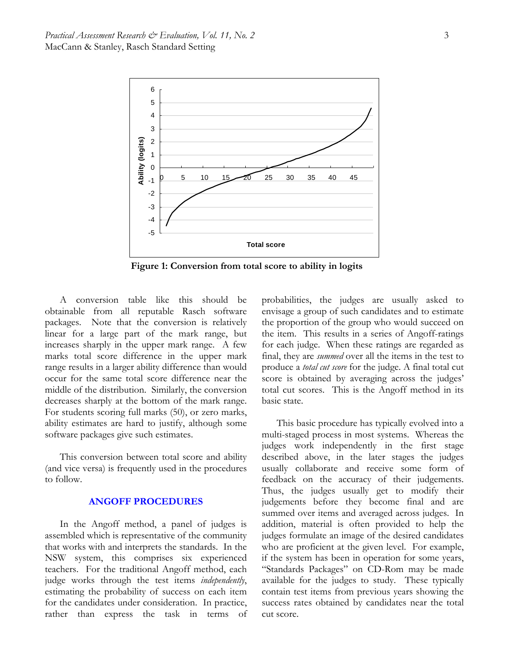

 **Figure 1: Conversion from total score to ability in logits**

A conversion table like this should be obtainable from all reputable Rasch software packages. Note that the conversion is relatively linear for a large part of the mark range, but increases sharply in the upper mark range. A few marks total score difference in the upper mark range results in a larger ability difference than would occur for the same total score difference near the middle of the distribution. Similarly, the conversion decreases sharply at the bottom of the mark range. For students scoring full marks (50), or zero marks, ability estimates are hard to justify, although some software packages give such estimates.

This conversion between total score and ability (and vice versa) is frequently used in the procedures to follow.

#### **ANGOFF PROCEDURES**

In the Angoff method, a panel of judges is assembled which is representative of the community that works with and interprets the standards. In the NSW system, this comprises six experienced teachers. For the traditional Angoff method, each judge works through the test items *independently*, estimating the probability of success on each item for the candidates under consideration. In practice, rather than express the task in terms of probabilities, the judges are usually asked to envisage a group of such candidates and to estimate the proportion of the group who would succeed on the item. This results in a series of Angoff-ratings for each judge. When these ratings are regarded as final, they are *summed* over all the items in the test to produce a *total cut score* for the judge. A final total cut score is obtained by averaging across the judges' total cut scores. This is the Angoff method in its basic state.

This basic procedure has typically evolved into a multi-staged process in most systems. Whereas the judges work independently in the first stage described above, in the later stages the judges usually collaborate and receive some form of feedback on the accuracy of their judgements. Thus, the judges usually get to modify their judgements before they become final and are summed over items and averaged across judges. In addition, material is often provided to help the judges formulate an image of the desired candidates who are proficient at the given level. For example, if the system has been in operation for some years, "Standards Packages" on CD-Rom may be made available for the judges to study. These typically contain test items from previous years showing the success rates obtained by candidates near the total cut score.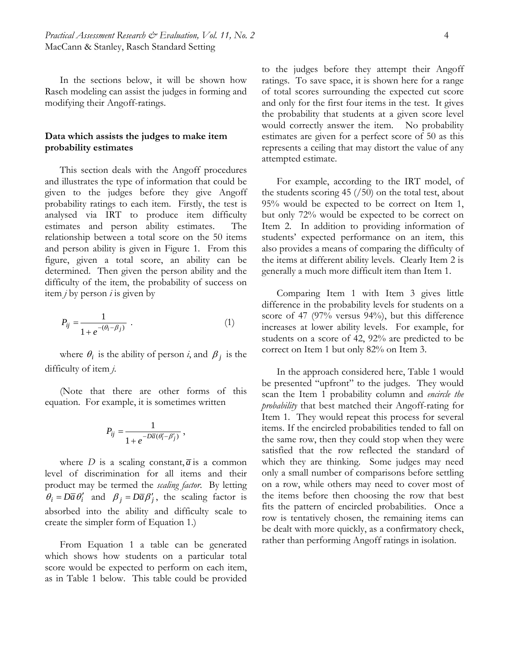In the sections below, it will be shown how Rasch modeling can assist the judges in forming and modifying their Angoff-ratings.

# **Data which assists the judges to make item probability estimates**

This section deals with the Angoff procedures and illustrates the type of information that could be given to the judges before they give Angoff probability ratings to each item. Firstly, the test is analysed via IRT to produce item difficulty estimates and person ability estimates. The relationship between a total score on the 50 items and person ability is given in Figure 1. From this figure, given a total score, an ability can be determined. Then given the person ability and the difficulty of the item, the probability of success on item *j* by person *i* is given by

$$
P_{ij} = \frac{1}{1 + e^{-(\theta_i - \beta_j)}}.
$$
 (1)

where  $\theta_i$  is the ability of person *i*, and  $\beta_j$  is the difficulty of item *j*.

(Note that there are other forms of this equation. For example, it is sometimes written

$$
P_{ij} = \frac{1}{1 + e^{-D\overline{a}(\theta'_i - \beta'_j)}},
$$

where *D* is a scaling constant,  $\overline{a}$  is a common level of discrimination for all items and their product may be termed the *scaling factor*. By letting  $\theta_i = D\overline{a}\theta'_i$  and  $\beta_i = D\overline{a}\beta'_i$ , the scaling factor is absorbed into the ability and difficulty scale to create the simpler form of Equation 1.)

From Equation 1 a table can be generated which shows how students on a particular total score would be expected to perform on each item, as in Table 1 below. This table could be provided to the judges before they attempt their Angoff ratings. To save space, it is shown here for a range of total scores surrounding the expected cut score and only for the first four items in the test. It gives the probability that students at a given score level would correctly answer the item. No probability estimates are given for a perfect score of 50 as this represents a ceiling that may distort the value of any attempted estimate.

For example, according to the IRT model, of the students scoring  $45 \left(\frac{\pi}{50}\right)$  on the total test, about 95% would be expected to be correct on Item 1, but only 72% would be expected to be correct on Item 2. In addition to providing information of students' expected performance on an item, this also provides a means of comparing the difficulty of the items at different ability levels. Clearly Item 2 is generally a much more difficult item than Item 1.

Comparing Item 1 with Item 3 gives little difference in the probability levels for students on a score of 47 (97% versus 94%), but this difference increases at lower ability levels. For example, for students on a score of 42, 92% are predicted to be correct on Item 1 but only 82% on Item 3.

In the approach considered here, Table 1 would be presented "upfront" to the judges. They would scan the Item 1 probability column and *encircle the probability* that best matched their Angoff-rating for Item 1. They would repeat this process for several items. If the encircled probabilities tended to fall on the same row, then they could stop when they were satisfied that the row reflected the standard of which they are thinking. Some judges may need only a small number of comparisons before settling on a row, while others may need to cover most of the items before then choosing the row that best fits the pattern of encircled probabilities. Once a row is tentatively chosen, the remaining items can be dealt with more quickly, as a confirmatory check, rather than performing Angoff ratings in isolation.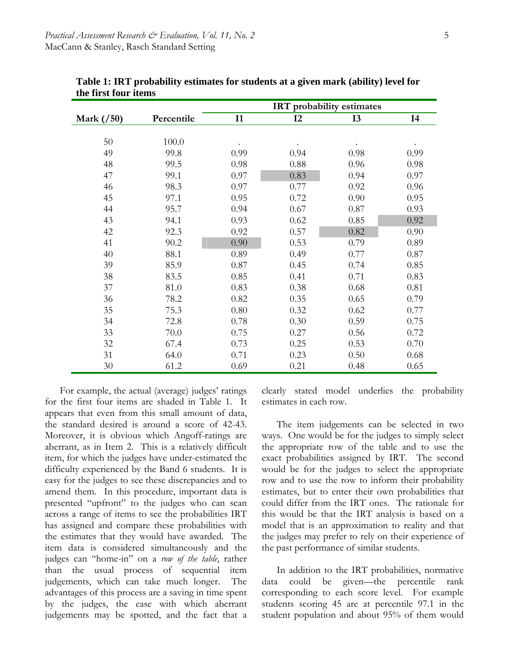|            |            | IRT probability estimates |      |           |                |  |  |
|------------|------------|---------------------------|------|-----------|----------------|--|--|
| Mark (/50) | Percentile | I1                        | I2   | <b>I3</b> | I <sub>4</sub> |  |  |
|            |            |                           |      |           |                |  |  |
| 50         | 100.0      |                           |      |           |                |  |  |
| 49         | 99.8       | 0.99                      | 0.94 | 0.98      | 0.99           |  |  |
| 48         | 99.5       | 0.98                      | 0.88 | 0.96      | 0.98           |  |  |
| 47         | 99.1       | 0.97                      | 0.83 | 0.94      | 0.97           |  |  |
| 46         | 98.3       | 0.97                      | 0.77 | 0.92      | 0.96           |  |  |
| 45         | 97.1       | 0.95                      | 0.72 | 0.90      | 0.95           |  |  |
| 44         | 95.7       | 0.94                      | 0.67 | 0.87      | 0.93           |  |  |
| 43         | 94.1       | 0.93                      | 0.62 | 0.85      | 0.92           |  |  |
| 42         | 92.3       | 0.92                      | 0.57 | 0.82      | 0.90           |  |  |
| 41         | 90.2       | 0.90                      | 0.53 | 0.79      | 0.89           |  |  |
| 40         | 88.1       | 0.89                      | 0.49 | 0.77      | 0.87           |  |  |
| 39         | 85.9       | 0.87                      | 0.45 | 0.74      | 0.85           |  |  |
| 38         | 83.5       | 0.85                      | 0.41 | 0.71      | 0.83           |  |  |
| 37         | 81.0       | 0.83                      | 0.38 | 0.68      | 0.81           |  |  |
| 36         | 78.2       | 0.82                      | 0.35 | 0.65      | 0.79           |  |  |
| 35         | 75.3       | 0.80                      | 0.32 | 0.62      | 0.77           |  |  |
| 34         | 72.8       | 0.78                      | 0.30 | 0.59      | 0.75           |  |  |
| 33         | 70.0       | 0.75                      | 0.27 | 0.56      | 0.72           |  |  |
| 32         | 67.4       | 0.73                      | 0.25 | 0.53      | 0.70           |  |  |
| 31         | 64.0       | 0.71                      | 0.23 | 0.50      | 0.68           |  |  |
| 30         | 61.2       | 0.69                      | 0.21 | 0.48      | 0.65           |  |  |

**Table 1: IRT probability estimates for students at a given mark (ability) level for the first four items**

For example, the actual (average) judges' ratings for the first four items are shaded in Table 1. It appears that even from this small amount of data, the standard desired is around a score of 42-43. Moreover, it is obvious which Angoff-ratings are aberrant, as in Item 2. This is a relatively difficult item, for which the judges have under-estimated the difficulty experienced by the Band 6 students. It is easy for the judges to see these discrepancies and to amend them. In this procedure, important data is presented "upfront" to the judges who can scan across a range of items to see the probabilities IRT has assigned and compare these probabilities with the estimates that they would have awarded. The item data is considered simultaneously and the judges can "home-in" on a *row of the table*, rather than the usual process of sequential item judgements, which can take much longer. The advantages of this process are a saving in time spent by the judges, the ease with which aberrant judgements may be spotted, and the fact that a

clearly stated model underlies the probability estimates in each row.

The item judgements can be selected in two ways. One would be for the judges to simply select the appropriate row of the table and to use the exact probabilities assigned by IRT. The second would be for the judges to select the appropriate row and to use the row to inform their probability estimates, but to enter their own probabilities that could differ from the IRT ones. The rationale for this would be that the IRT analysis is based on a model that is an approximation to reality and that the judges may prefer to rely on their experience of the past performance of similar students.

In addition to the IRT probabilities, normative data could be given—the percentile rank corresponding to each score level. For example students scoring 45 are at percentile 97.1 in the student population and about 95% of them would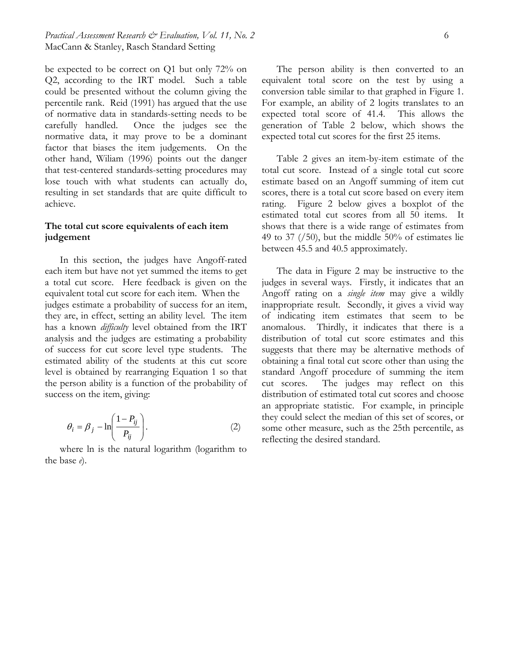be expected to be correct on Q1 but only 72% on Q2, according to the IRT model. Such a table could be presented without the column giving the percentile rank. Reid (1991) has argued that the use of normative data in standards-setting needs to be carefully handled. Once the judges see the normative data, it may prove to be a dominant factor that biases the item judgements. On the other hand, Wiliam (1996) points out the danger that test-centered standards-setting procedures may lose touch with what students can actually do, resulting in set standards that are quite difficult to achieve.

# **The total cut score equivalents of each item judgement**

In this section, the judges have Angoff-rated each item but have not yet summed the items to get a total cut score. Here feedback is given on the equivalent total cut score for each item. When the judges estimate a probability of success for an item, they are, in effect, setting an ability level. The item has a known *difficulty* level obtained from the IRT analysis and the judges are estimating a probability of success for cut score level type students. The estimated ability of the students at this cut score level is obtained by rearranging Equation 1 so that the person ability is a function of the probability of success on the item, giving:

$$
\theta_i = \beta_j - \ln\left(\frac{1 - P_{ij}}{P_{ij}}\right). \tag{2}
$$

where ln is the natural logarithm (logarithm to the base *e*).

The person ability is then converted to an equivalent total score on the test by using a conversion table similar to that graphed in Figure 1. For example, an ability of 2 logits translates to an expected total score of 41.4. This allows the generation of Table 2 below, which shows the expected total cut scores for the first 25 items.

Table 2 gives an item-by-item estimate of the total cut score. Instead of a single total cut score estimate based on an Angoff summing of item cut scores, there is a total cut score based on every item rating. Figure 2 below gives a boxplot of the estimated total cut scores from all 50 items. It shows that there is a wide range of estimates from 49 to 37  $\left(\frac{50}{10}\right)$ , but the middle 50% of estimates lie between 45.5 and 40.5 approximately.

The data in Figure 2 may be instructive to the judges in several ways. Firstly, it indicates that an Angoff rating on a *single item* may give a wildly inappropriate result. Secondly, it gives a vivid way of indicating item estimates that seem to be anomalous. Thirdly, it indicates that there is a distribution of total cut score estimates and this suggests that there may be alternative methods of obtaining a final total cut score other than using the standard Angoff procedure of summing the item cut scores. The judges may reflect on this distribution of estimated total cut scores and choose an appropriate statistic. For example, in principle they could select the median of this set of scores, or some other measure, such as the 25th percentile, as reflecting the desired standard.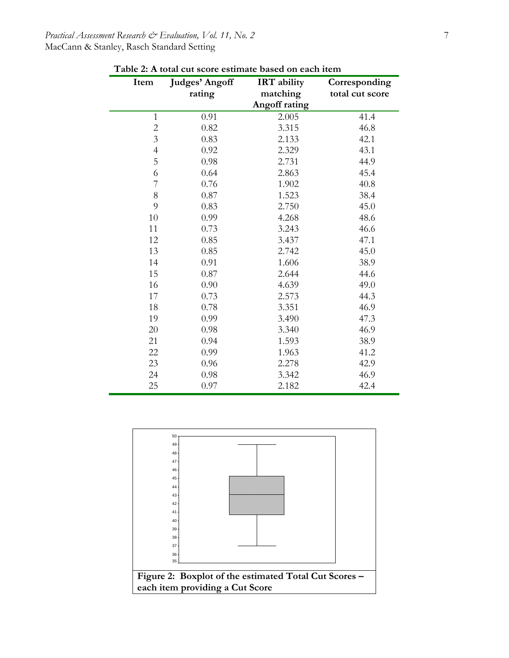# *Practical Assessment Research & Evaluation, Vol. 11, No. 2* 7 MacCann & Stanley, Rasch Standard Setting

| Item           | Judges' Angoff | <b>IRT</b> ability | Corresponding   |
|----------------|----------------|--------------------|-----------------|
|                | rating         | matching           | total cut score |
|                |                | Angoff rating      |                 |
| $\mathbf{1}$   | 0.91           | 2.005              | 41.4            |
| $\overline{c}$ | 0.82           | 3.315              | 46.8            |
| $\overline{3}$ | 0.83           | 2.133              | 42.1            |
| $\overline{4}$ | 0.92           | 2.329              | 43.1            |
| 5              | 0.98           | 2.731              | 44.9            |
| 6              | 0.64           | 2.863              | 45.4            |
| 7              | 0.76           | 1.902              | 40.8            |
| 8              | 0.87           | 1.523              | 38.4            |
| 9              | 0.83           | 2.750              | 45.0            |
| 10             | 0.99           | 4.268              | 48.6            |
| 11             | 0.73           | 3.243              | 46.6            |
| 12             | 0.85           | 3.437              | 47.1            |
| 13             | 0.85           | 2.742              | 45.0            |
| 14             | 0.91           | 1.606              | 38.9            |
| 15             | 0.87           | 2.644              | 44.6            |
| 16             | 0.90           | 4.639              | 49.0            |
| 17             | 0.73           | 2.573              | 44.3            |
| 18             | 0.78           | 3.351              | 46.9            |
| 19             | 0.99           | 3.490              | 47.3            |
| 20             | 0.98           | 3.340              | 46.9            |
| 21             | 0.94           | 1.593              | 38.9            |
| 22             | 0.99           | 1.963              | 41.2            |
| 23             | 0.96           | 2.278              | 42.9            |
| 24             | 0.98           | 3.342              | 46.9            |
| 25             | 0.97           | 2.182              | 42.4            |

**Table 2: A total cut score estimate based on each item** 

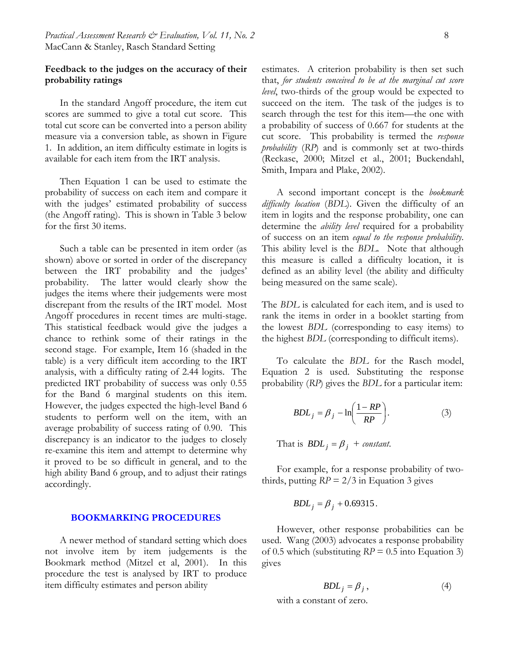# **Feedback to the judges on the accuracy of their probability ratings**

In the standard Angoff procedure, the item cut scores are summed to give a total cut score. This total cut score can be converted into a person ability measure via a conversion table, as shown in Figure 1. In addition, an item difficulty estimate in logits is available for each item from the IRT analysis.

Then Equation 1 can be used to estimate the probability of success on each item and compare it with the judges' estimated probability of success (the Angoff rating). This is shown in Table 3 below for the first 30 items.

Such a table can be presented in item order (as shown) above or sorted in order of the discrepancy between the IRT probability and the judges' probability. The latter would clearly show the judges the items where their judgements were most discrepant from the results of the IRT model. Most Angoff procedures in recent times are multi-stage. This statistical feedback would give the judges a chance to rethink some of their ratings in the second stage. For example, Item 16 (shaded in the table) is a very difficult item according to the IRT analysis, with a difficulty rating of 2.44 logits. The predicted IRT probability of success was only 0.55 for the Band 6 marginal students on this item. However, the judges expected the high-level Band 6 students to perform well on the item, with an average probability of success rating of 0.90. This discrepancy is an indicator to the judges to closely re-examine this item and attempt to determine why it proved to be so difficult in general, and to the high ability Band 6 group, and to adjust their ratings accordingly.

#### **BOOKMARKING PROCEDURES**

A newer method of standard setting which does not involve item by item judgements is the Bookmark method (Mitzel et al, 2001). In this procedure the test is analysed by IRT to produce item difficulty estimates and person ability

estimates. A criterion probability is then set such that, *for students conceived to be at the marginal cut score level*, two-thirds of the group would be expected to succeed on the item. The task of the judges is to search through the test for this item—the one with a probability of success of 0.667 for students at the cut score. This probability is termed the *response probability* (*RP*) and is commonly set at two-thirds (Reckase, 2000; Mitzel et al., 2001; Buckendahl, Smith, Impara and Plake, 2002).

A second important concept is the *bookmark difficulty location* (*BDL*). Given the difficulty of an item in logits and the response probability, one can determine the *ability level* required for a probability of success on an item *equal to the response probability*. This ability level is the *BDL*. Note that although this measure is called a difficulty location, it is defined as an ability level (the ability and difficulty being measured on the same scale).

The *BDL* is calculated for each item, and is used to rank the items in order in a booklet starting from the lowest *BDL* (corresponding to easy items) to the highest *BDL* (corresponding to difficult items).

To calculate the *BDL* for the Rasch model, Equation 2 is used. Substituting the response probability (*RP*) gives the *BDL* for a particular item:

$$
BDL_j = \beta_j - \ln\left(\frac{1 - RP}{RP}\right). \tag{3}
$$

That is  $BDL_i = \beta_i + constant$ .

For example, for a response probability of twothirds, putting  $RP = 2/3$  in Equation 3 gives

$$
BDL_j = \beta_j + 0.69315.
$$

However, other response probabilities can be used. Wang (2003) advocates a response probability of 0.5 which (substituting *RP* = 0.5 into Equation 3) gives

$$
BDL_j = \beta_j \,, \tag{4}
$$

with a constant of zero.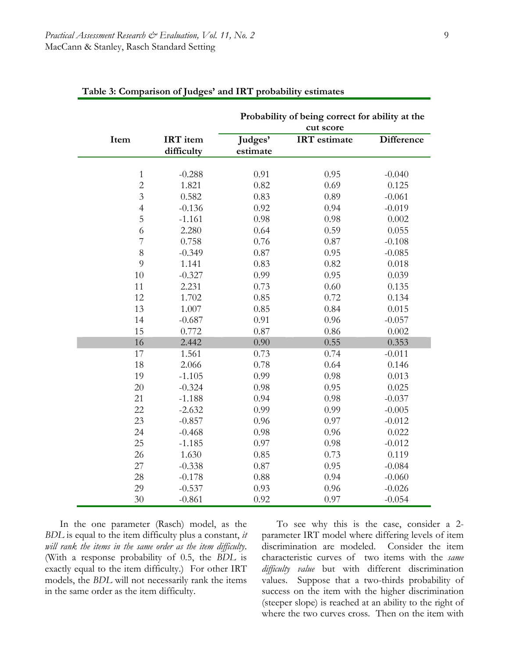|                |            | Probability of being correct for ability at the |                     |                   |  |  |  |
|----------------|------------|-------------------------------------------------|---------------------|-------------------|--|--|--|
|                |            |                                                 | cut score           |                   |  |  |  |
| Item           | IRT item   | Judges'                                         | <b>IRT</b> estimate | <b>Difference</b> |  |  |  |
|                | difficulty | estimate                                        |                     |                   |  |  |  |
|                |            |                                                 |                     |                   |  |  |  |
| $\mathbf{1}$   | $-0.288$   | 0.91                                            | 0.95                | $-0.040$          |  |  |  |
| $\overline{2}$ | 1.821      | 0.82                                            | 0.69                | 0.125             |  |  |  |
| $\overline{3}$ | 0.582      | 0.83                                            | 0.89                | $-0.061$          |  |  |  |
| $\overline{4}$ | $-0.136$   | 0.92                                            | 0.94                | $-0.019$          |  |  |  |
| 5              | $-1.161$   | 0.98                                            | 0.98                | 0.002             |  |  |  |
| 6              | 2.280      | 0.64                                            | 0.59                | 0.055             |  |  |  |
| $\overline{7}$ | 0.758      | 0.76                                            | 0.87                | $-0.108$          |  |  |  |
| 8              | $-0.349$   | 0.87                                            | 0.95                | $-0.085$          |  |  |  |
| 9              | 1.141      | 0.83                                            | 0.82                | 0.018             |  |  |  |
| 10             | $-0.327$   | 0.99                                            | 0.95                | 0.039             |  |  |  |
| 11             | 2.231      | 0.73                                            | 0.60                | 0.135             |  |  |  |
| 12             | 1.702      | 0.85                                            | 0.72                | 0.134             |  |  |  |
| 13             | 1.007      | 0.85                                            | 0.84                | 0.015             |  |  |  |
| 14             | $-0.687$   | 0.91                                            | 0.96                | $-0.057$          |  |  |  |
| 15             | 0.772      | 0.87                                            | 0.86                | 0.002             |  |  |  |
| 16             | 2.442      | 0.90                                            | 0.55                | 0.353             |  |  |  |
| 17             | 1.561      | 0.73                                            | 0.74                | $-0.011$          |  |  |  |
| 18             | 2.066      | 0.78                                            | 0.64                | 0.146             |  |  |  |
| 19             | $-1.105$   | 0.99                                            | 0.98                | 0.013             |  |  |  |
| 20             | $-0.324$   | 0.98                                            | 0.95                | 0.025             |  |  |  |
| 21             | $-1.188$   | 0.94                                            | 0.98                | $-0.037$          |  |  |  |
| 22             | $-2.632$   | 0.99                                            | 0.99                | $-0.005$          |  |  |  |
| 23             | $-0.857$   | 0.96                                            | 0.97                | $-0.012$          |  |  |  |
| 24             | $-0.468$   | 0.98                                            | 0.96                | 0.022             |  |  |  |
| 25             | $-1.185$   | 0.97                                            | 0.98                | $-0.012$          |  |  |  |
| 26             | 1.630      | 0.85                                            | 0.73                | 0.119             |  |  |  |
| 27             | $-0.338$   | 0.87                                            | 0.95                | $-0.084$          |  |  |  |
| 28             | $-0.178$   | 0.88                                            | 0.94                | $-0.060$          |  |  |  |
| 29             | $-0.537$   | 0.93                                            | 0.96                | $-0.026$          |  |  |  |
| 30             | $-0.861$   | 0.92                                            | 0.97                | $-0.054$          |  |  |  |

| Table 3: Comparison of Judges' and IRT probability estimates |  |  |  |  |  |  |  |  |  |  |  |  |  |  |  |  |
|--------------------------------------------------------------|--|--|--|--|--|--|--|--|--|--|--|--|--|--|--|--|
|--------------------------------------------------------------|--|--|--|--|--|--|--|--|--|--|--|--|--|--|--|--|

In the one parameter (Rasch) model, as the *BDL* is equal to the item difficulty plus a constant, *it will rank the items in the same order as the item difficulty*. (With a response probability of 0.5, the *BDL* is exactly equal to the item difficulty.) For other IRT models, the *BDL* will not necessarily rank the items in the same order as the item difficulty.

To see why this is the case, consider a 2 parameter IRT model where differing levels of item discrimination are modeled. Consider the item characteristic curves of two items with the *same difficulty value* but with different discrimination values. Suppose that a two-thirds probability of success on the item with the higher discrimination (steeper slope) is reached at an ability to the right of where the two curves cross. Then on the item with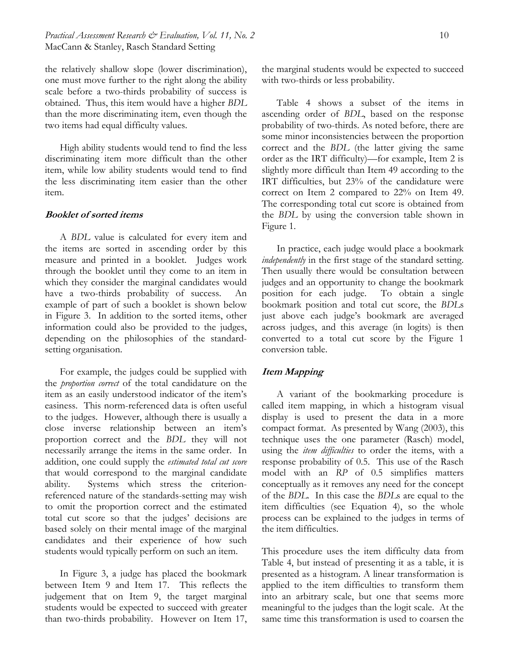the relatively shallow slope (lower discrimination), one must move further to the right along the ability scale before a two-thirds probability of success is obtained. Thus, this item would have a higher *BDL* than the more discriminating item, even though the two items had equal difficulty values.

High ability students would tend to find the less discriminating item more difficult than the other item, while low ability students would tend to find the less discriminating item easier than the other item.

#### **Booklet of sorted items**

A *BDL* value is calculated for every item and the items are sorted in ascending order by this measure and printed in a booklet. Judges work through the booklet until they come to an item in which they consider the marginal candidates would have a two-thirds probability of success. An example of part of such a booklet is shown below in Figure 3. In addition to the sorted items, other information could also be provided to the judges, depending on the philosophies of the standardsetting organisation.

For example, the judges could be supplied with the *proportion correct* of the total candidature on the item as an easily understood indicator of the item's easiness. This norm-referenced data is often useful to the judges. However, although there is usually a close inverse relationship between an item's proportion correct and the *BDL* they will not necessarily arrange the items in the same order. In addition, one could supply the *estimated total cut score* that would correspond to the marginal candidate ability. Systems which stress the criterionreferenced nature of the standards-setting may wish to omit the proportion correct and the estimated total cut score so that the judges' decisions are based solely on their mental image of the marginal candidates and their experience of how such students would typically perform on such an item.

In Figure 3, a judge has placed the bookmark between Item 9 and Item 17. This reflects the judgement that on Item 9, the target marginal students would be expected to succeed with greater than two-thirds probability. However on Item 17,

the marginal students would be expected to succeed with two-thirds or less probability.

Table 4 shows a subset of the items in ascending order of *BDL*, based on the response probability of two-thirds. As noted before, there are some minor inconsistencies between the proportion correct and the *BDL* (the latter giving the same order as the IRT difficulty)—for example, Item 2 is slightly more difficult than Item 49 according to the IRT difficulties, but 23% of the candidature were correct on Item 2 compared to 22% on Item 49. The corresponding total cut score is obtained from the *BDL* by using the conversion table shown in Figure 1.

In practice, each judge would place a bookmark *independently* in the first stage of the standard setting. Then usually there would be consultation between judges and an opportunity to change the bookmark position for each judge. To obtain a single bookmark position and total cut score, the *BDL*s just above each judge's bookmark are averaged across judges, and this average (in logits) is then converted to a total cut score by the Figure 1 conversion table.

#### **Item Mapping**

A variant of the bookmarking procedure is called item mapping, in which a histogram visual display is used to present the data in a more compact format. As presented by Wang (2003), this technique uses the one parameter (Rasch) model, using the *item difficulties* to order the items, with a response probability of 0.5. This use of the Rasch model with an *RP* of 0.5 simplifies matters conceptually as it removes any need for the concept of the *BDL*. In this case the *BDL*s are equal to the item difficulties (see Equation 4), so the whole process can be explained to the judges in terms of the item difficulties.

This procedure uses the item difficulty data from Table 4, but instead of presenting it as a table, it is presented as a histogram. A linear transformation is applied to the item difficulties to transform them into an arbitrary scale, but one that seems more meaningful to the judges than the logit scale. At the same time this transformation is used to coarsen the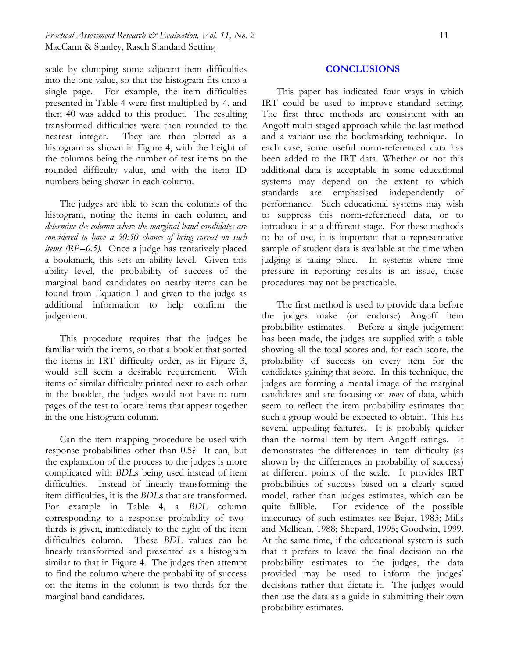# *Practical Assessment Research & Evaluation, Vol. 11, No. 2* 11 MacCann & Stanley, Rasch Standard Setting

scale by clumping some adjacent item difficulties into the one value, so that the histogram fits onto a single page. For example, the item difficulties presented in Table 4 were first multiplied by 4, and then 40 was added to this product. The resulting transformed difficulties were then rounded to the nearest integer. They are then plotted as a histogram as shown in Figure 4, with the height of the columns being the number of test items on the rounded difficulty value, and with the item ID numbers being shown in each column.

The judges are able to scan the columns of the histogram, noting the items in each column, and *determine the column where the marginal band candidates are considered to have a 50:50 chance of being correct on such items (RP=0.5)*. Once a judge has tentatively placed a bookmark, this sets an ability level. Given this ability level, the probability of success of the marginal band candidates on nearby items can be found from Equation 1 and given to the judge as additional information to help confirm the judgement.

This procedure requires that the judges be familiar with the items, so that a booklet that sorted the items in IRT difficulty order, as in Figure 3, would still seem a desirable requirement. With items of similar difficulty printed next to each other in the booklet, the judges would not have to turn pages of the test to locate items that appear together in the one histogram column.

Can the item mapping procedure be used with response probabilities other than 0.5? It can, but the explanation of the process to the judges is more complicated with *BDL*s being used instead of item difficulties. Instead of linearly transforming the item difficulties, it is the *BDL*s that are transformed. For example in Table 4, a *BDL* column corresponding to a response probability of twothirds is given, immediately to the right of the item difficulties column. These *BDL* values can be linearly transformed and presented as a histogram similar to that in Figure 4. The judges then attempt to find the column where the probability of success on the items in the column is two-thirds for the marginal band candidates.

#### **CONCLUSIONS**

This paper has indicated four ways in which IRT could be used to improve standard setting. The first three methods are consistent with an Angoff multi-staged approach while the last method and a variant use the bookmarking technique. In each case, some useful norm-referenced data has been added to the IRT data. Whether or not this additional data is acceptable in some educational systems may depend on the extent to which standards are emphasised independently of performance. Such educational systems may wish to suppress this norm-referenced data, or to introduce it at a different stage. For these methods to be of use, it is important that a representative sample of student data is available at the time when judging is taking place. In systems where time pressure in reporting results is an issue, these procedures may not be practicable.

The first method is used to provide data before the judges make (or endorse) Angoff item probability estimates. Before a single judgement has been made, the judges are supplied with a table showing all the total scores and, for each score, the probability of success on every item for the candidates gaining that score. In this technique, the judges are forming a mental image of the marginal candidates and are focusing on *rows* of data, which seem to reflect the item probability estimates that such a group would be expected to obtain. This has several appealing features. It is probably quicker than the normal item by item Angoff ratings. It demonstrates the differences in item difficulty (as shown by the differences in probability of success) at different points of the scale. It provides IRT probabilities of success based on a clearly stated model, rather than judges estimates, which can be quite fallible. For evidence of the possible inaccuracy of such estimates see Bejar, 1983; Mills and Mellican, 1988; Shepard, 1995; Goodwin, 1999. At the same time, if the educational system is such that it prefers to leave the final decision on the probability estimates to the judges, the data provided may be used to inform the judges' decisions rather that dictate it. The judges would then use the data as a guide in submitting their own probability estimates.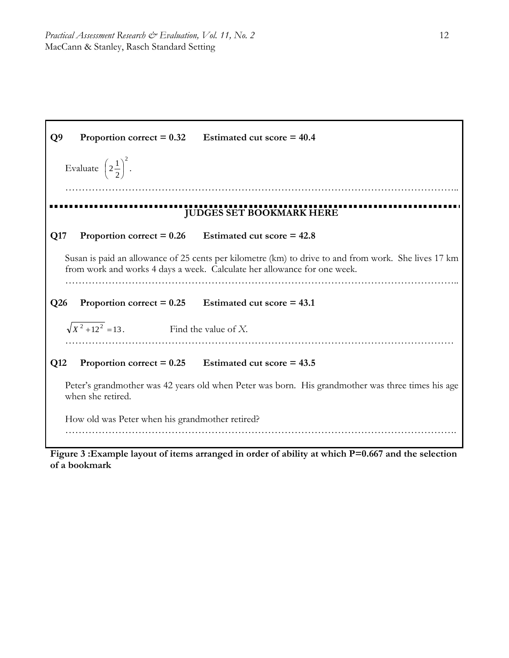

Figure 3 : Example layout of items arranged in order of ability at which P=0.667 and the selection **of a bookmark**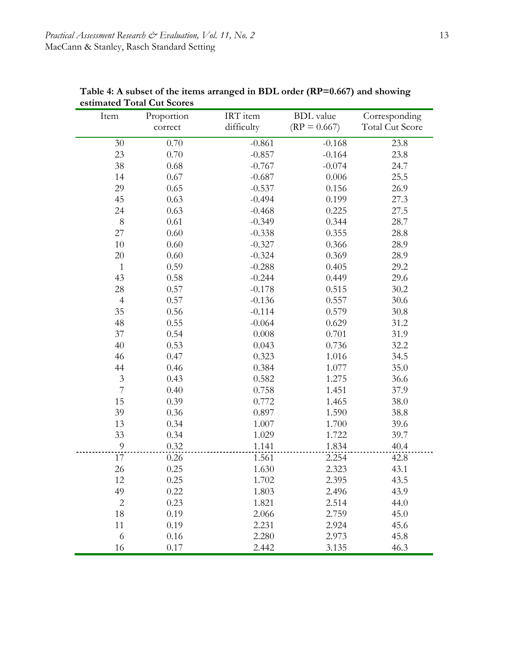| Item           | Proportion | IRT item   | <b>BDL</b> value | Corresponding          |
|----------------|------------|------------|------------------|------------------------|
|                | correct    | difficulty | $(RP = 0.667)$   | <b>Total Cut Score</b> |
| 30             | 0.70       | $-0.861$   | $-0.168$         | 23.8                   |
| 23             | 0.70       | $-0.857$   | $-0.164$         | 23.8                   |
| 38             | $0.68\,$   | $-0.767$   | $-0.074$         | 24.7                   |
| 14             | 0.67       | $-0.687$   | 0.006            | 25.5                   |
| 29             | 0.65       | $-0.537$   | 0.156            | 26.9                   |
| 45             | 0.63       | $-0.494$   | 0.199            | 27.3                   |
| 24             | 0.63       | $-0.468$   | 0.225            | 27.5                   |
| $8\,$          | 0.61       | $-0.349$   | 0.344            | 28.7                   |
| 27             | 0.60       | $-0.338$   | 0.355            | 28.8                   |
| 10             | 0.60       | $-0.327$   | 0.366            | 28.9                   |
| 20             | 0.60       | $-0.324$   | 0.369            | 28.9                   |
| $\mathbf{1}$   | 0.59       | $-0.288$   | 0.405            | 29.2                   |
| 43             | 0.58       | $-0.244$   | 0.449            | 29.6                   |
| 28             | 0.57       | $-0.178$   | 0.515            | 30.2                   |
| $\overline{4}$ | 0.57       | $-0.136$   | 0.557            | 30.6                   |
| 35             | 0.56       | $-0.114$   | 0.579            | 30.8                   |
| 48             | 0.55       | $-0.064$   | 0.629            | 31.2                   |
| 37             | 0.54       | 0.008      | 0.701            | 31.9                   |
| 40             | 0.53       | 0.043      | 0.736            | 32.2                   |
| 46             | 0.47       | 0.323      | 1.016            | 34.5                   |
| 44             | 0.46       | 0.384      | 1.077            | 35.0                   |
| $\sqrt{3}$     | 0.43       | 0.582      | 1.275            | 36.6                   |
| $\overline{7}$ | 0.40       | 0.758      | 1.451            | 37.9                   |
| 15             | 0.39       | 0.772      | 1.465            | 38.0                   |
| 39             | 0.36       | 0.897      | 1.590            | 38.8                   |
| 13             | 0.34       | 1.007      | 1.700            | 39.6                   |
| 33             | 0.34       | 1.029      | 1.722            | 39.7                   |
| $\overline{9}$ | 0.32       | 1.141      | 1.834            | 40.4                   |
| 17             | 0.26       | 1.561      | 2.254            | 42.8                   |
| 26             | 0.25       | 1.630      | 2.323            | 43.1                   |
| 12             | 0.25       | 1.702      | 2.395            | 43.5                   |
| 49             | 0.22       | 1.803      | 2.496            | 43.9                   |
| $\sqrt{2}$     | 0.23       | 1.821      | 2.514            | 44.0                   |
| 18             | 0.19       | 2.066      | 2.759            | 45.0                   |
| 11             | 0.19       | 2.231      | 2.924            | 45.6                   |
| 6              | 0.16       | 2.280      | 2.973            | 45.8                   |
| 16             | 0.17       | 2.442      | 3.135            | 46.3                   |

**Table 4: A subset of the items arranged in BDL order (RP=0.667) and showing estimated Total Cut Scores**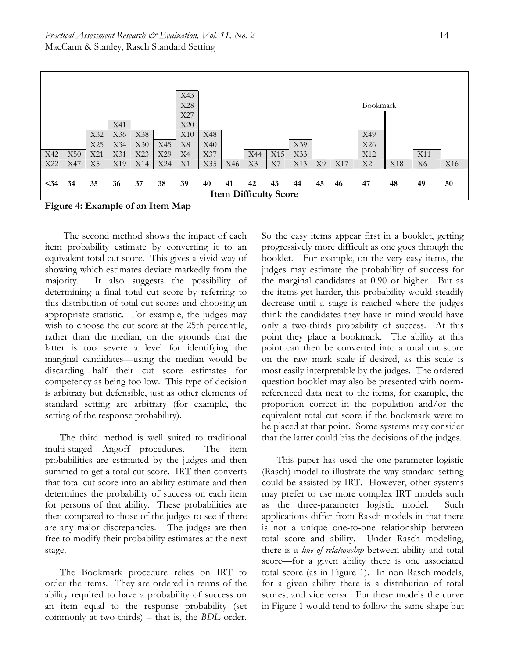

**Figure 4: Example of an Item Map** 

 The second method shows the impact of each item probability estimate by converting it to an equivalent total cut score. This gives a vivid way of showing which estimates deviate markedly from the majority. It also suggests the possibility of determining a final total cut score by referring to this distribution of total cut scores and choosing an appropriate statistic. For example, the judges may wish to choose the cut score at the 25th percentile, rather than the median, on the grounds that the latter is too severe a level for identifying the marginal candidates—using the median would be discarding half their cut score estimates for competency as being too low. This type of decision is arbitrary but defensible, just as other elements of standard setting are arbitrary (for example, the setting of the response probability).

The third method is well suited to traditional multi-staged Angoff procedures. The item probabilities are estimated by the judges and then summed to get a total cut score. IRT then converts that total cut score into an ability estimate and then determines the probability of success on each item for persons of that ability. These probabilities are then compared to those of the judges to see if there are any major discrepancies. The judges are then free to modify their probability estimates at the next stage.

The Bookmark procedure relies on IRT to order the items. They are ordered in terms of the ability required to have a probability of success on an item equal to the response probability (set commonly at two-thirds) – that is, the *BDL* order. So the easy items appear first in a booklet, getting progressively more difficult as one goes through the booklet. For example, on the very easy items, the judges may estimate the probability of success for the marginal candidates at 0.90 or higher. But as the items get harder, this probability would steadily decrease until a stage is reached where the judges think the candidates they have in mind would have only a two-thirds probability of success. At this point they place a bookmark. The ability at this point can then be converted into a total cut score on the raw mark scale if desired, as this scale is most easily interpretable by the judges. The ordered question booklet may also be presented with normreferenced data next to the items, for example, the proportion correct in the population and/or the equivalent total cut score if the bookmark were to be placed at that point. Some systems may consider that the latter could bias the decisions of the judges.

This paper has used the one-parameter logistic (Rasch) model to illustrate the way standard setting could be assisted by IRT. However, other systems may prefer to use more complex IRT models such as the three-parameter logistic model. Such applications differ from Rasch models in that there is not a unique one-to-one relationship between total score and ability. Under Rasch modeling, there is a *line of relationship* between ability and total score—for a given ability there is one associated total score (as in Figure 1). In non Rasch models, for a given ability there is a distribution of total scores, and vice versa. For these models the curve in Figure 1 would tend to follow the same shape but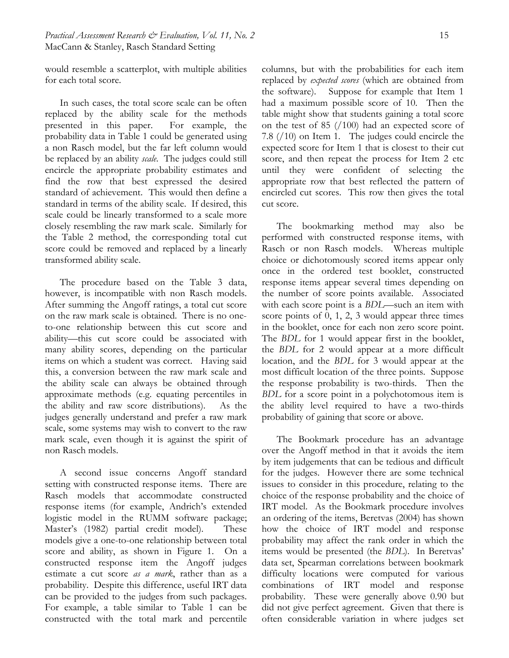would resemble a scatterplot, with multiple abilities for each total score.

In such cases, the total score scale can be often replaced by the ability scale for the methods presented in this paper. For example, the probability data in Table 1 could be generated using a non Rasch model, but the far left column would be replaced by an ability *scale*. The judges could still encircle the appropriate probability estimates and find the row that best expressed the desired standard of achievement. This would then define a standard in terms of the ability scale. If desired, this scale could be linearly transformed to a scale more closely resembling the raw mark scale. Similarly for the Table 2 method, the corresponding total cut score could be removed and replaced by a linearly transformed ability scale.

The procedure based on the Table 3 data, however, is incompatible with non Rasch models. After summing the Angoff ratings, a total cut score on the raw mark scale is obtained. There is no oneto-one relationship between this cut score and ability—this cut score could be associated with many ability scores, depending on the particular items on which a student was correct. Having said this, a conversion between the raw mark scale and the ability scale can always be obtained through approximate methods (e.g. equating percentiles in the ability and raw score distributions). As the judges generally understand and prefer a raw mark scale, some systems may wish to convert to the raw mark scale, even though it is against the spirit of non Rasch models.

A second issue concerns Angoff standard setting with constructed response items. There are Rasch models that accommodate constructed response items (for example, Andrich's extended logistic model in the RUMM software package; Master's (1982) partial credit model). These models give a one-to-one relationship between total score and ability, as shown in Figure 1. On a constructed response item the Angoff judges estimate a cut score *as a mark*, rather than as a probability. Despite this difference, useful IRT data can be provided to the judges from such packages. For example, a table similar to Table 1 can be constructed with the total mark and percentile

columns, but with the probabilities for each item replaced by *expected scores* (which are obtained from the software). Suppose for example that Item 1 had a maximum possible score of 10. Then the table might show that students gaining a total score on the test of 85 (/100) had an expected score of 7.8 (/10) on Item 1. The judges could encircle the expected score for Item 1 that is closest to their cut score, and then repeat the process for Item 2 etc until they were confident of selecting the appropriate row that best reflected the pattern of encircled cut scores. This row then gives the total cut score.

The bookmarking method may also be performed with constructed response items, with Rasch or non Rasch models. Whereas multiple choice or dichotomously scored items appear only once in the ordered test booklet, constructed response items appear several times depending on the number of score points available. Associated with each score point is a *BDL*—such an item with score points of 0, 1, 2, 3 would appear three times in the booklet, once for each non zero score point. The *BDL* for 1 would appear first in the booklet, the *BDL* for 2 would appear at a more difficult location, and the *BDL* for 3 would appear at the most difficult location of the three points. Suppose the response probability is two-thirds. Then the *BDL* for a score point in a polychotomous item is the ability level required to have a two-thirds probability of gaining that score or above.

The Bookmark procedure has an advantage over the Angoff method in that it avoids the item by item judgements that can be tedious and difficult for the judges. However there are some technical issues to consider in this procedure, relating to the choice of the response probability and the choice of IRT model. As the Bookmark procedure involves an ordering of the items, Beretvas (2004) has shown how the choice of IRT model and response probability may affect the rank order in which the items would be presented (the *BDL*). In Beretvas' data set, Spearman correlations between bookmark difficulty locations were computed for various combinations of IRT model and response probability. These were generally above 0.90 but did not give perfect agreement. Given that there is often considerable variation in where judges set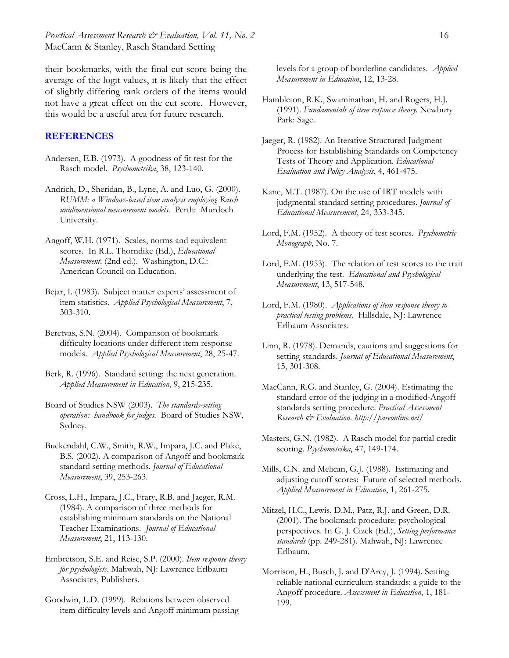their bookmarks, with the final cut score being the average of the logit values, it is likely that the effect of slightly differing rank orders of the items would not have a great effect on the cut score. However, this would be a useful area for future research.

# **REFERENCES**

- Andersen, E.B. (1973). A goodness of fit test for the Rasch model. *Psychometrika*, 38, 123-140.
- Andrich, D., Sheridan, B., Lyne, A. and Luo, G. (2000). *RUMM: a Windows-based item analysis employing Rasch unidimensional measurement models*. Perth: Murdoch University.
- Angoff, W.H. (1971). Scales, norms and equivalent scores. In R.L. Thorndike (Ed.), *Educational Measurement*. (2nd ed.). Washington, D.C.: American Council on Education.
- Bejar, I. (1983). Subject matter experts' assessment of item statistics. *Applied Psychological Measurement*, 7, 303-310.
- Beretvas, S.N. (2004). Comparison of bookmark difficulty locations under different item response models. *Applied Psychological Measurement*, 28, 25-47.
- Berk, R. (1996). Standard setting: the next generation. *Applied Measurement in Education*, 9, 215-235.
- Board of Studies NSW (2003). *The standards-setting operation: handbook for judges*. Board of Studies NSW, Sydney.
- Buckendahl, C.W., Smith, R.W., Impara, J.C. and Plake, B.S. (2002). A comparison of Angoff and bookmark standard setting methods. *Journal of Educational Measurement*, 39, 253-263.
- Cross, L.H., Impara, J.C., Frary, R.B. and Jaeger, R.M. (1984). A comparison of three methods for establishing minimum standards on the National Teacher Examinations. *Journal of Educational Measurement*, 21, 113-130.
- Embretson, S.E. and Reise, S.P. (2000). *Item response theory for psychologists*. Mahwah, NJ: Lawrence Erlbaum Associates, Publishers.
- Goodwin, L.D. (1999). Relations between observed item difficulty levels and Angoff minimum passing

levels for a group of borderline candidates. *Applied Measurement in Education*, 12, 13-28.

- Hambleton, R.K., Swaminathan, H. and Rogers, H.J. (1991). *Fundamentals of item response theory.* Newbury Park: Sage.
- Jaeger, R. (1982). An Iterative Structured Judgment Process for Establishing Standards on Competency Tests of Theory and Application. *Educational Evaluation and Policy Analysis*, 4, 461-475.
- Kane, M.T. (1987). On the use of IRT models with judgmental standard setting procedures. *Journal of Educational Measurement*, 24, 333-345.
- Lord, F.M. (1952). A theory of test scores. *Psychometric Monograph*, No. 7.
- Lord, F.M. (1953). The relation of test scores to the trait underlying the test. *Educational and Psychological Measurement*, 13, 517-548.
- Lord, F.M. (1980). *Applications of item response theory to practical testing problems*. Hillsdale, NJ: Lawrence Erlbaum Associates.
- Linn, R. (1978). Demands, cautions and suggestions for setting standards. *Journal of Educational Measurement*, 15, 301-308.
- MacCann, R.G. and Stanley, G. (2004). Estimating the standard error of the judging in a modified-Angoff standards setting procedure. *Practical Assessment Research & Evaluation. http://pareonline.net/*
- Masters, G.N. (1982). A Rasch model for partial credit scoring. *Psychometrika*, 47, 149-174.
- Mills, C.N. and Melican, G.J. (1988). Estimating and adjusting cutoff scores: Future of selected methods. *Applied Measurement in Education*, 1, 261-275.
- Mitzel, H.C., Lewis, D.M., Patz, R.J. and Green, D.R. (2001). The bookmark procedure: psychological perspectives. In G. J. Cizek (Ed.), *Setting performance standards* (pp. 249-281). Mahwah, NJ: Lawrence Erlbaum.
- Morrison, H., Busch, J. and D'Arcy, J. (1994). Setting reliable national curriculum standards: a guide to the Angoff procedure. *Assessment in Education*, 1, 181- 199.